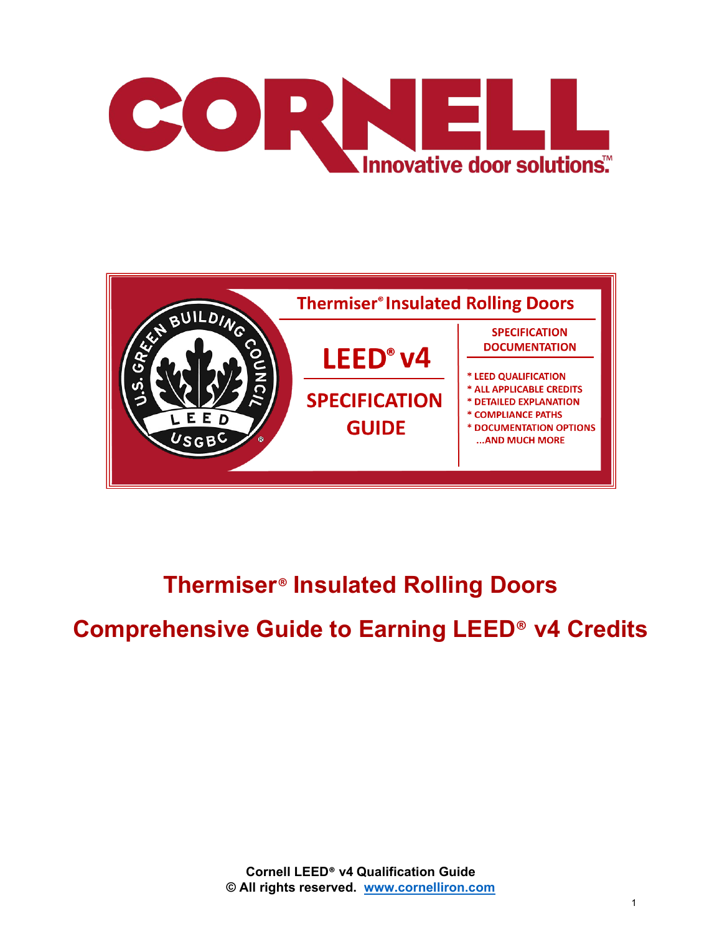



# **Thermiser**® **Insulated Rolling Doors**

# **Comprehensive Guide to Earning LEED**® **v4 Credits**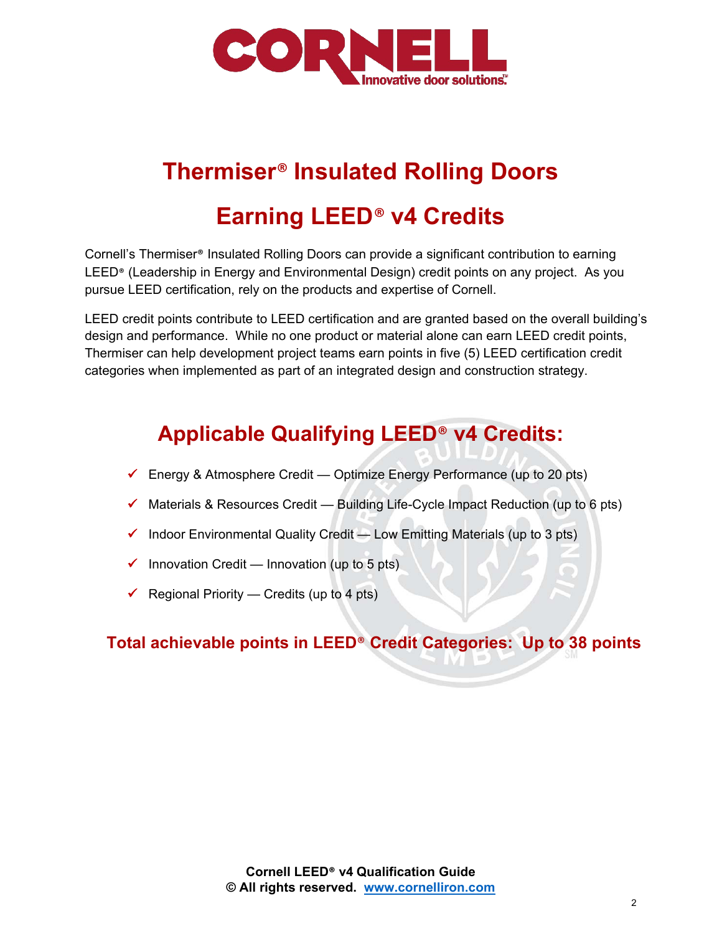

# **Thermiser**® **Insulated Rolling Doors**

# **Earning LEED**® **v4 Credits**

Cornell's Thermiser® Insulated Rolling Doors can provide a significant contribution to earning LEED® (Leadership in Energy and Environmental Design) credit points on any project. As you pursue LEED certification, rely on the products and expertise of Cornell.

LEED credit points contribute to LEED certification and are granted based on the overall building's design and performance. While no one product or material alone can earn LEED credit points, Thermiser can help development project teams earn points in five (5) LEED certification credit categories when implemented as part of an integrated design and construction strategy.

# **Applicable Qualifying LEED**® **v4 Credits:**

- $\checkmark$  Energy & Atmosphere Credit Optimize Energy Performance (up to 20 pts)
- $\checkmark$  Materials & Resources Credit Building Life-Cycle Impact Reduction (up to 6 pts)
- $\checkmark$  Indoor Environmental Quality Credit Low Emitting Materials (up to 3 pts)
- $\checkmark$  Innovation Credit Innovation (up to 5 pts)
- Regional Priority Credits (up to 4 pts)

## **Total achievable points in LEED**® **Credit Categories: Up to 38 points**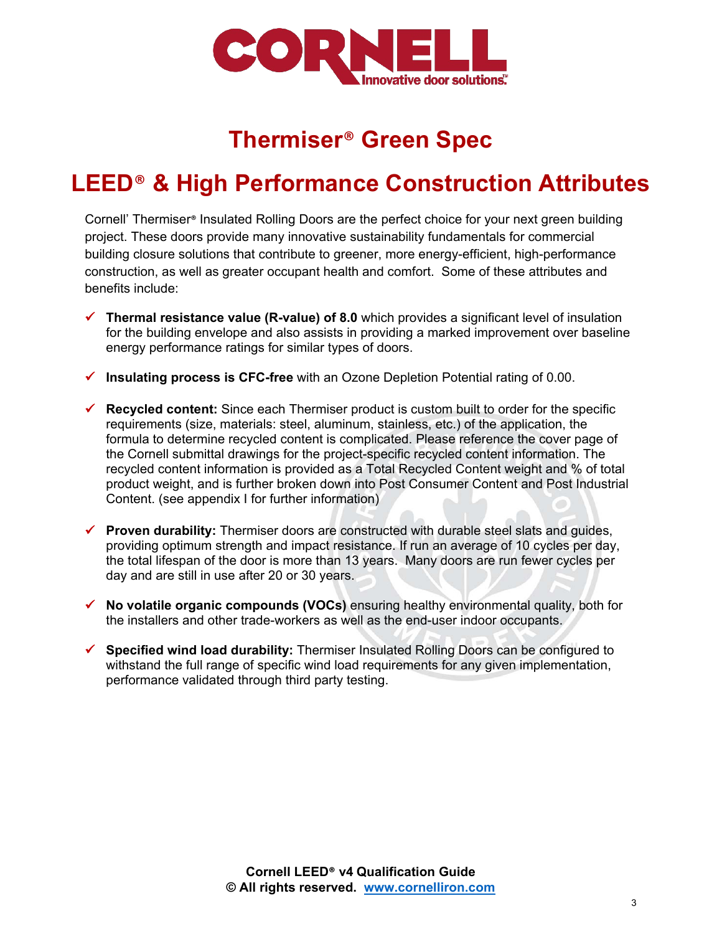

# **Thermiser**® **Green Spec**

# **LEED**® **& High Performance Construction Attributes**

Cornell' Thermiser® Insulated Rolling Doors are the perfect choice for your next green building project. These doors provide many innovative sustainability fundamentals for commercial building closure solutions that contribute to greener, more energy-efficient, high-performance construction, as well as greater occupant health and comfort. Some of these attributes and benefits include:

- **Thermal resistance value (R-value) of 8.0** which provides a significant level of insulation for the building envelope and also assists in providing a marked improvement over baseline energy performance ratings for similar types of doors.
- **Insulating process is CFC-free** with an Ozone Depletion Potential rating of 0.00.
- **Recycled content:** Since each Thermiser product is custom built to order for the specific requirements (size, materials: steel, aluminum, stainless, etc.) of the application, the formula to determine recycled content is complicated. Please reference the cover page of the Cornell submittal drawings for the project-specific recycled content information. The recycled content information is provided as a Total Recycled Content weight and % of total product weight, and is further broken down into Post Consumer Content and Post Industrial Content. (see appendix I for further information)
- **Proven durability:** Thermiser doors are constructed with durable steel slats and guides, providing optimum strength and impact resistance. If run an average of 10 cycles per day, the total lifespan of the door is more than 13 years. Many doors are run fewer cycles per day and are still in use after 20 or 30 years.
- **No volatile organic compounds (VOCs)** ensuring healthy environmental quality, both for the installers and other trade-workers as well as the end-user indoor occupants.
- **Specified wind load durability:** Thermiser Insulated Rolling Doors can be configured to withstand the full range of specific wind load requirements for any given implementation, performance validated through third party testing.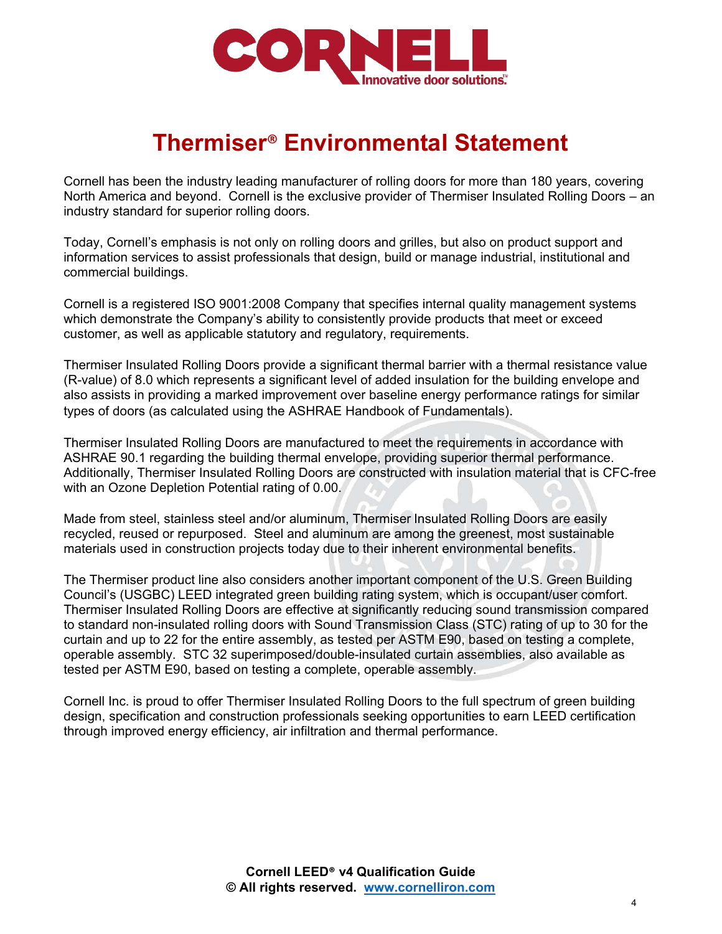

# **Thermiser**® **Environmental Statement**

Cornell has been the industry leading manufacturer of rolling doors for more than 180 years, covering North America and beyond. Cornell is the exclusive provider of Thermiser Insulated Rolling Doors – an industry standard for superior rolling doors.

Today, Cornell's emphasis is not only on rolling doors and grilles, but also on product support and information services to assist professionals that design, build or manage industrial, institutional and commercial buildings.

Cornell is a registered ISO 9001:2008 Company that specifies internal quality management systems which demonstrate the Company's ability to consistently provide products that meet or exceed customer, as well as applicable statutory and regulatory, requirements.

Thermiser Insulated Rolling Doors provide a significant thermal barrier with a thermal resistance value (R-value) of 8.0 which represents a significant level of added insulation for the building envelope and also assists in providing a marked improvement over baseline energy performance ratings for similar types of doors (as calculated using the ASHRAE Handbook of Fundamentals).

Thermiser Insulated Rolling Doors are manufactured to meet the requirements in accordance with ASHRAE 90.1 regarding the building thermal envelope, providing superior thermal performance. Additionally, Thermiser Insulated Rolling Doors are constructed with insulation material that is CFC-free with an Ozone Depletion Potential rating of 0.00.

Made from steel, stainless steel and/or aluminum, Thermiser Insulated Rolling Doors are easily recycled, reused or repurposed. Steel and aluminum are among the greenest, most sustainable materials used in construction projects today due to their inherent environmental benefits.

The Thermiser product line also considers another important component of the U.S. Green Building Council's (USGBC) LEED integrated green building rating system, which is occupant/user comfort. Thermiser Insulated Rolling Doors are effective at significantly reducing sound transmission compared to standard non-insulated rolling doors with Sound Transmission Class (STC) rating of up to 30 for the curtain and up to 22 for the entire assembly, as tested per ASTM E90, based on testing a complete, operable assembly. STC 32 superimposed/double-insulated curtain assemblies, also available as tested per ASTM E90, based on testing a complete, operable assembly.

Cornell Inc. is proud to offer Thermiser Insulated Rolling Doors to the full spectrum of green building design, specification and construction professionals seeking opportunities to earn LEED certification through improved energy efficiency, air infiltration and thermal performance.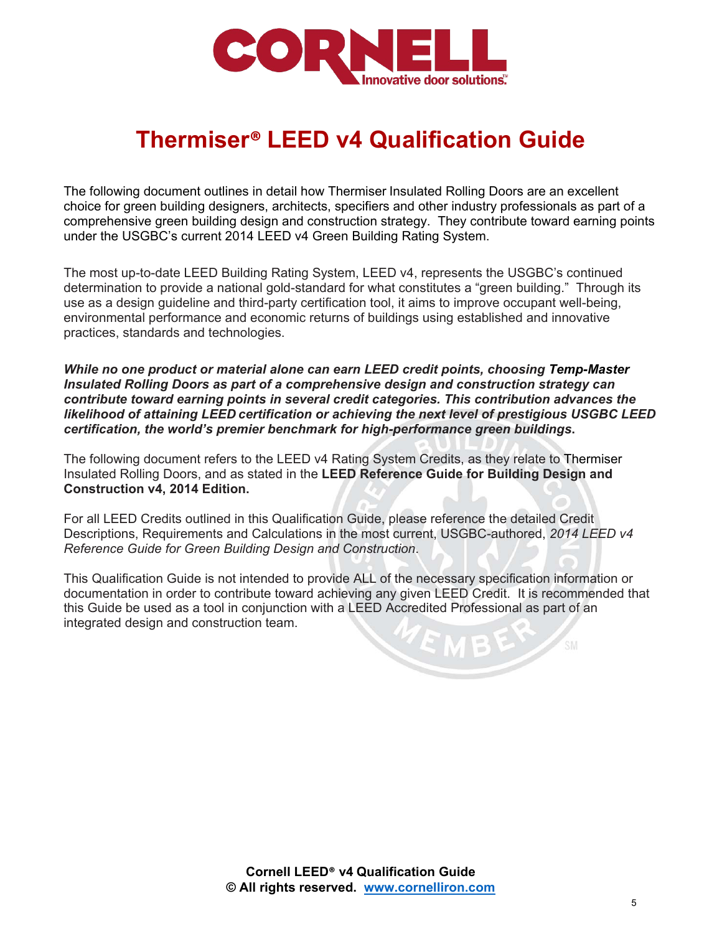

# **Thermiser® LEED v4 Qualification Guide**

The following document outlines in detail how Thermiser Insulated Rolling Doors are an excellent choice for green building designers, architects, specifiers and other industry professionals as part of a comprehensive green building design and construction strategy. They contribute toward earning points under the USGBC's current 2014 LEED v4 Green Building Rating System.

The most up-to-date LEED Building Rating System, LEED v4, represents the USGBC's continued determination to provide a national gold-standard for what constitutes a "green building." Through its use as a design guideline and third-party certification tool, it aims to improve occupant well-being, environmental performance and economic returns of buildings using established and innovative practices, standards and technologies.

*While no one product or material alone can earn LEED credit points, choosing Temp-Master Insulated Rolling Doors as part of a comprehensive design and construction strategy can contribute toward earning points in several credit categories. This contribution advances the likelihood of attaining LEED certification or achieving the next level of prestigious USGBC LEED certification, the world's premier benchmark for high-performance green buildings***.**

The following document refers to the LEED v4 Rating System Credits, as they relate to Thermiser Insulated Rolling Doors, and as stated in the **LEED Reference Guide for Building Design and Construction v4, 2014 Edition.**

For all LEED Credits outlined in this Qualification Guide, please reference the detailed Credit Descriptions, Requirements and Calculations in the most current, USGBC-authored, *2014 LEED v4 Reference Guide for Green Building Design and Construction*.

This Qualification Guide is not intended to provide ALL of the necessary specification information or documentation in order to contribute toward achieving any given LEED Credit. It is recommended that this Guide be used as a tool in conjunction with a LEED Accredited Professional as part of an integrated design and construction team.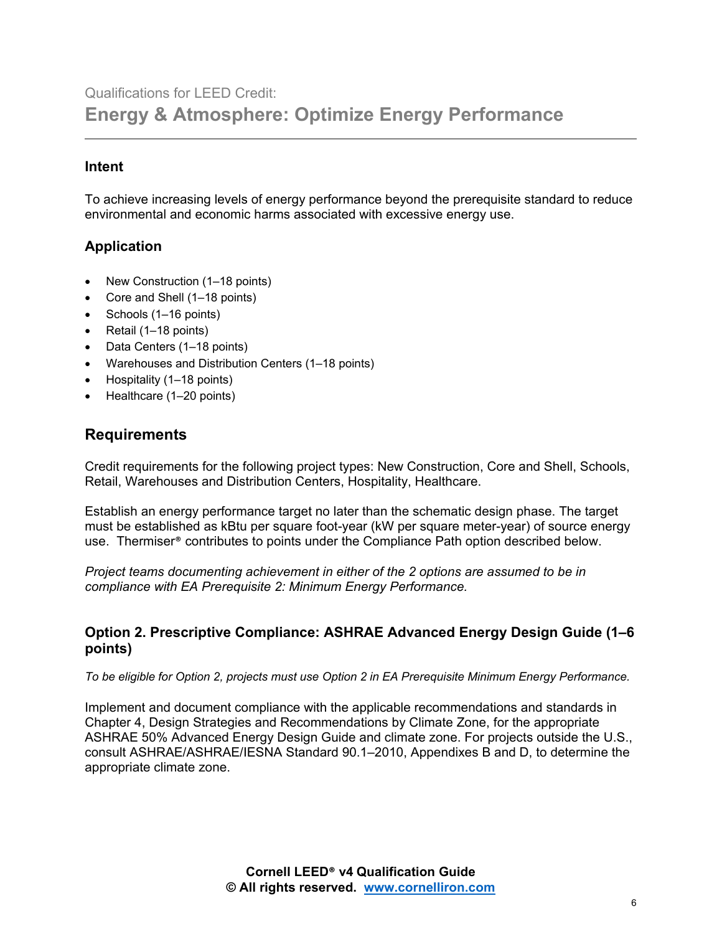# Qualifications for LEED Credit: **Energy & Atmosphere: Optimize Energy Performance**

#### **Intent**

To achieve increasing levels of energy performance beyond the prerequisite standard to reduce environmental and economic harms associated with excessive energy use.

#### **Application**

- New Construction (1–18 points)
- Core and Shell (1–18 points)
- Schools (1–16 points)
- Retail (1–18 points)
- Data Centers (1–18 points)
- Warehouses and Distribution Centers (1–18 points)
- Hospitality (1–18 points)
- Healthcare (1-20 points)

#### **Requirements**

Credit requirements for the following project types: New Construction, Core and Shell, Schools, Retail, Warehouses and Distribution Centers, Hospitality, Healthcare.

Establish an energy performance target no later than the schematic design phase. The target must be established as kBtu per square foot-year (kW per square meter-year) of source energy use. Thermiser® contributes to points under the Compliance Path option described below.

*Project teams documenting achievement in either of the 2 options are assumed to be in compliance with EA Prerequisite 2: Minimum Energy Performance.*

#### **Option 2. Prescriptive Compliance: ASHRAE Advanced Energy Design Guide (1–6 points)**

*To be eligible for Option 2, projects must use Option 2 in EA Prerequisite Minimum Energy Performance.*

Implement and document compliance with the applicable recommendations and standards in Chapter 4, Design Strategies and Recommendations by Climate Zone, for the appropriate ASHRAE 50% Advanced Energy Design Guide and climate zone. For projects outside the U.S., consult ASHRAE/ASHRAE/IESNA Standard 90.1–2010, Appendixes B and D, to determine the appropriate climate zone.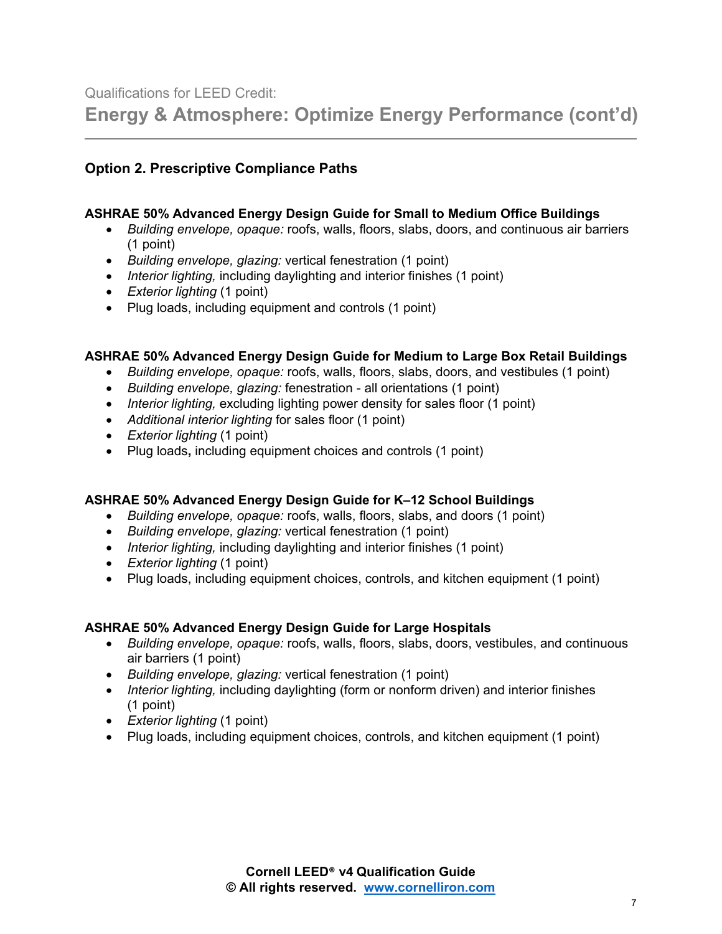**Energy & Atmosphere: Optimize Energy Performance (cont'd)**

#### **Option 2. Prescriptive Compliance Paths**

#### **ASHRAE 50% Advanced Energy Design Guide for Small to Medium Office Buildings**

- *Building envelope, opaque:* roofs, walls, floors, slabs, doors, and continuous air barriers (1 point)
- *Building envelope, glazing:* vertical fenestration (1 point)
- *Interior lighting,* including daylighting and interior finishes (1 point)
- *Exterior lighting* (1 point)
- Plug loads, including equipment and controls (1 point)

#### **ASHRAE 50% Advanced Energy Design Guide for Medium to Large Box Retail Buildings**

- *Building envelope, opaque:* roofs, walls, floors, slabs, doors, and vestibules (1 point)
- *Building envelope, glazing:* fenestration all orientations (1 point)
- *Interior lighting,* excluding lighting power density for sales floor (1 point)
- *Additional interior lighting* for sales floor (1 point)
- *Exterior lighting* (1 point)
- Plug loads**,** including equipment choices and controls (1 point)

#### **ASHRAE 50% Advanced Energy Design Guide for K–12 School Buildings**

- *Building envelope, opaque:* roofs, walls, floors, slabs, and doors (1 point)
- *Building envelope, glazing:* vertical fenestration (1 point)
- *Interior lighting,* including daylighting and interior finishes (1 point)
- *Exterior lighting* (1 point)
- Plug loads, including equipment choices, controls, and kitchen equipment (1 point)

#### **ASHRAE 50% Advanced Energy Design Guide for Large Hospitals**

- *Building envelope, opaque:* roofs, walls, floors, slabs, doors, vestibules, and continuous air barriers (1 point)
- *Building envelope, glazing:* vertical fenestration (1 point)
- *Interior lighting,* including daylighting (form or nonform driven) and interior finishes (1 point)
- *Exterior lighting* (1 point)
- Plug loads, including equipment choices, controls, and kitchen equipment (1 point)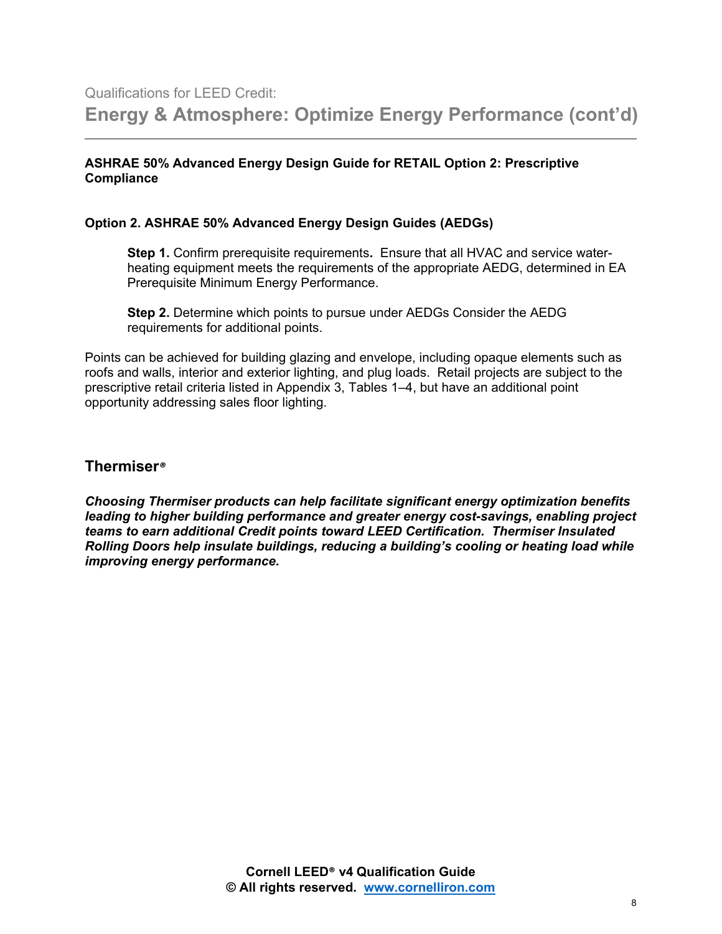#### **ASHRAE 50% Advanced Energy Design Guide for RETAIL Option 2: Prescriptive Compliance**

#### **Option 2. ASHRAE 50% Advanced Energy Design Guides (AEDGs)**

**Step 1.** Confirm prerequisite requirements**.** Ensure that all HVAC and service waterheating equipment meets the requirements of the appropriate AEDG, determined in EA Prerequisite Minimum Energy Performance.

**Step 2.** Determine which points to pursue under AEDGs Consider the AEDG requirements for additional points.

Points can be achieved for building glazing and envelope, including opaque elements such as roofs and walls, interior and exterior lighting, and plug loads. Retail projects are subject to the prescriptive retail criteria listed in Appendix 3, Tables 1–4, but have an additional point opportunity addressing sales floor lighting.

#### **Thermiser***®*

*Choosing Thermiser products can help facilitate significant energy optimization benefits leading to higher building performance and greater energy cost-savings, enabling project teams to earn additional Credit points toward LEED Certification.**Thermiser Insulated Rolling Doors help insulate buildings, reducing a building's cooling or heating load while improving energy performance.*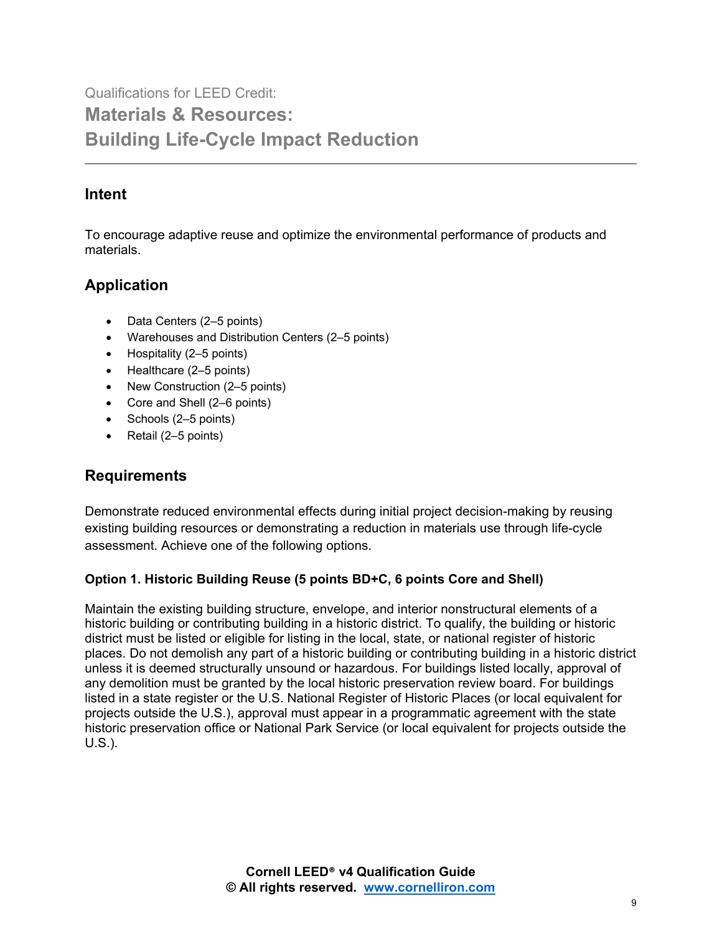Qualifications for LEED Credit: **Materials & Resources: Building Life-Cycle Impact Reduction** 

### **Intent**

To encourage adaptive reuse and optimize the environmental performance of products and materials.

## **Application**

- Data Centers (2–5 points)
- Warehouses and Distribution Centers (2–5 points)
- Hospitality (2–5 points)
- Healthcare (2–5 points)
- New Construction (2–5 points)
- Core and Shell (2–6 points)
- Schools (2–5 points)
- Retail (2–5 points)

## **Requirements**

Demonstrate reduced environmental effects during initial project decision-making by reusing existing building resources or demonstrating a reduction in materials use through life-cycle assessment. Achieve one of the following options.

#### **Option 1. Historic Building Reuse (5 points BD+C, 6 points Core and Shell)**

Maintain the existing building structure, envelope, and interior nonstructural elements of a historic building or contributing building in a historic district. To qualify, the building or historic district must be listed or eligible for listing in the local, state, or national register of historic places. Do not demolish any part of a historic building or contributing building in a historic district unless it is deemed structurally unsound or hazardous. For buildings listed locally, approval of any demolition must be granted by the local historic preservation review board. For buildings listed in a state register or the U.S. National Register of Historic Places (or local equivalent for projects outside the U.S.), approval must appear in a programmatic agreement with the state historic preservation office or National Park Service (or local equivalent for projects outside the U.S.).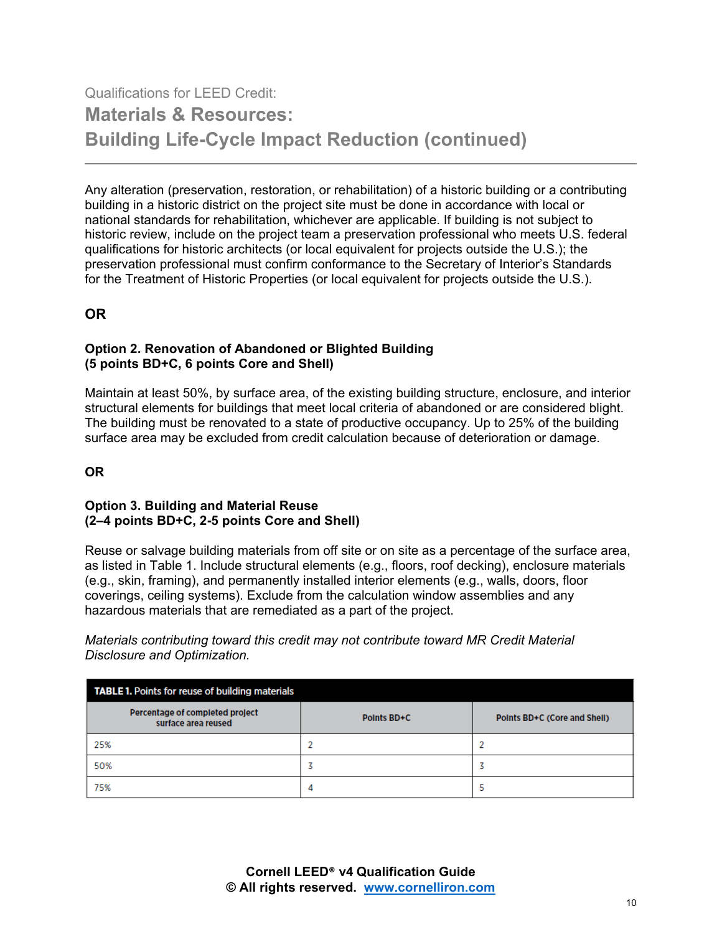# Qualifications for LEED Credit: **Materials & Resources: Building Life-Cycle Impact Reduction (continued)**

Any alteration (preservation, restoration, or rehabilitation) of a historic building or a contributing building in a historic district on the project site must be done in accordance with local or national standards for rehabilitation, whichever are applicable. If building is not subject to historic review, include on the project team a preservation professional who meets U.S. federal qualifications for historic architects (or local equivalent for projects outside the U.S.); the preservation professional must confirm conformance to the Secretary of Interior's Standards for the Treatment of Historic Properties (or local equivalent for projects outside the U.S.).

### **OR**

#### **Option 2. Renovation of Abandoned or Blighted Building (5 points BD+C, 6 points Core and Shell)**

Maintain at least 50%, by surface area, of the existing building structure, enclosure, and interior structural elements for buildings that meet local criteria of abandoned or are considered blight. The building must be renovated to a state of productive occupancy. Up to 25% of the building surface area may be excluded from credit calculation because of deterioration or damage.

#### **OR**

#### **Option 3. Building and Material Reuse (2–4 points BD+C, 2-5 points Core and Shell)**

Reuse or salvage building materials from off site or on site as a percentage of the surface area, as listed in Table 1. Include structural elements (e.g., floors, roof decking), enclosure materials (e.g., skin, framing), and permanently installed interior elements (e.g., walls, doors, floor coverings, ceiling systems). Exclude from the calculation window assemblies and any hazardous materials that are remediated as a part of the project.

*Materials contributing toward this credit may not contribute toward MR Credit Material Disclosure and Optimization.*

| <b>TABLE 1.</b> Points for reuse of building materials |             |                              |  |  |
|--------------------------------------------------------|-------------|------------------------------|--|--|
| Percentage of completed project<br>surface area reused | Points BD+C | Points BD+C (Core and Shell) |  |  |
| 25%                                                    |             |                              |  |  |
| 50%                                                    |             |                              |  |  |
| 75%                                                    | 4           |                              |  |  |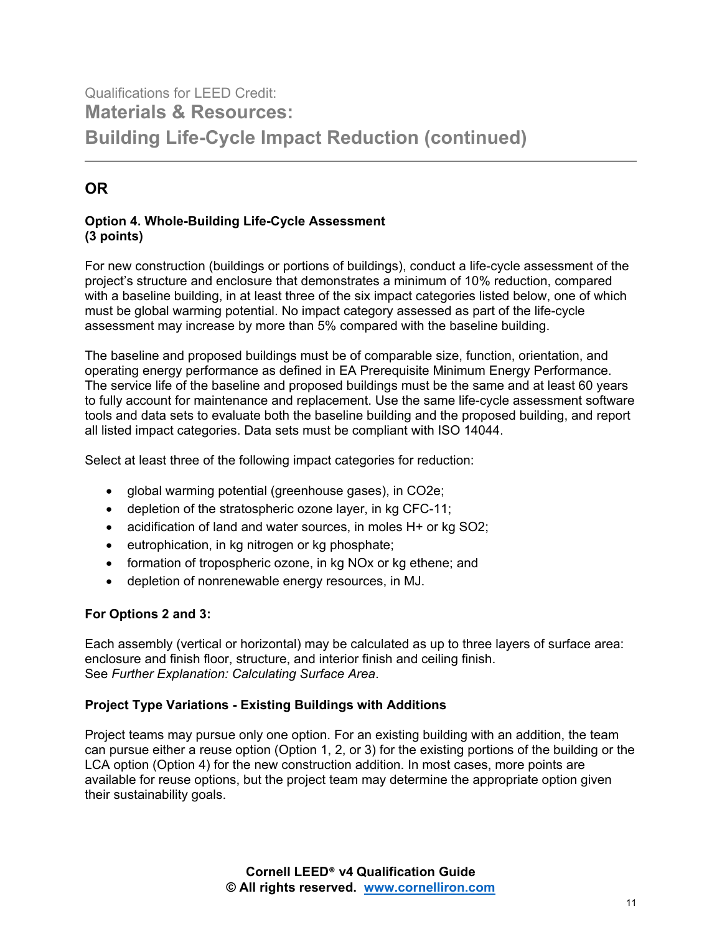# Qualifications for LEED Credit: **Materials & Resources: Building Life-Cycle Impact Reduction (continued)**

## **OR**

#### **Option 4. Whole-Building Life-Cycle Assessment (3 points)**

For new construction (buildings or portions of buildings), conduct a life-cycle assessment of the project's structure and enclosure that demonstrates a minimum of 10% reduction, compared with a baseline building, in at least three of the six impact categories listed below, one of which must be global warming potential. No impact category assessed as part of the life-cycle assessment may increase by more than 5% compared with the baseline building.

The baseline and proposed buildings must be of comparable size, function, orientation, and operating energy performance as defined in EA Prerequisite Minimum Energy Performance. The service life of the baseline and proposed buildings must be the same and at least 60 years to fully account for maintenance and replacement. Use the same life-cycle assessment software tools and data sets to evaluate both the baseline building and the proposed building, and report all listed impact categories. Data sets must be compliant with ISO 14044.

Select at least three of the following impact categories for reduction:

- global warming potential (greenhouse gases), in CO2e;
- depletion of the stratospheric ozone layer, in kg CFC-11;
- acidification of land and water sources, in moles H+ or kg SO2;
- eutrophication, in kg nitrogen or kg phosphate;
- formation of tropospheric ozone, in kg NOx or kg ethene; and
- depletion of nonrenewable energy resources, in MJ.

#### **For Options 2 and 3:**

Each assembly (vertical or horizontal) may be calculated as up to three layers of surface area: enclosure and finish floor, structure, and interior finish and ceiling finish. See *Further Explanation: Calculating Surface Area*.

#### **Project Type Variations - Existing Buildings with Additions**

Project teams may pursue only one option. For an existing building with an addition, the team can pursue either a reuse option (Option 1, 2, or 3) for the existing portions of the building or the LCA option (Option 4) for the new construction addition. In most cases, more points are available for reuse options, but the project team may determine the appropriate option given their sustainability goals.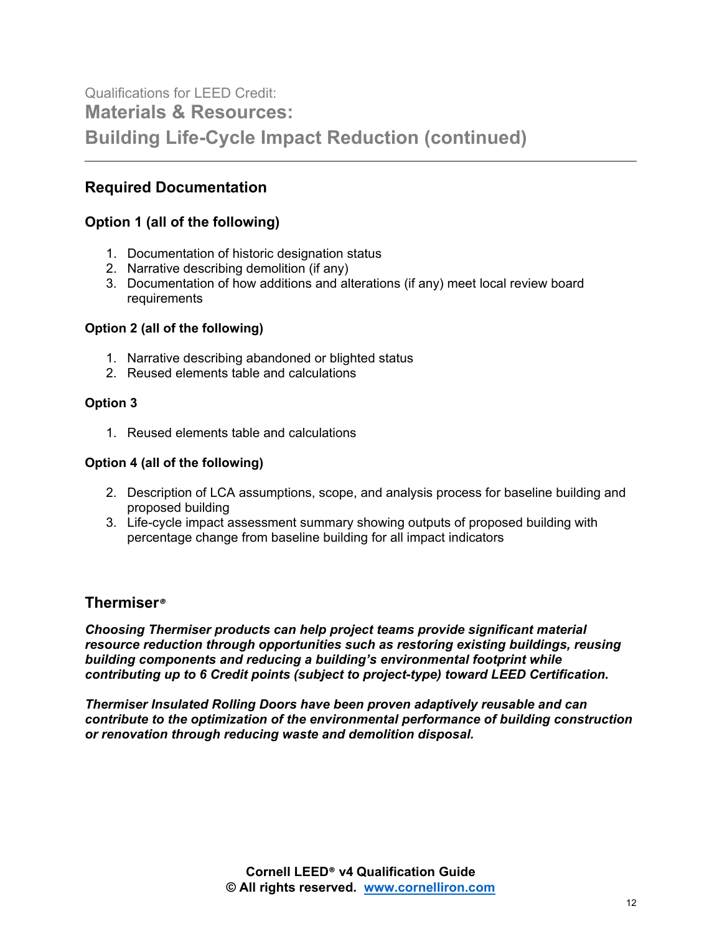# Qualifications for LEED Credit: **Materials & Resources: Building Life-Cycle Impact Reduction (continued)**

### **Required Documentation**

#### **Option 1 (all of the following)**

- 1. Documentation of historic designation status
- 2. Narrative describing demolition (if any)
- 3. Documentation of how additions and alterations (if any) meet local review board requirements

#### **Option 2 (all of the following)**

- 1. Narrative describing abandoned or blighted status
- 2. Reused elements table and calculations

#### **Option 3**

1. Reused elements table and calculations

#### **Option 4 (all of the following)**

- 2. Description of LCA assumptions, scope, and analysis process for baseline building and proposed building
- 3. Life-cycle impact assessment summary showing outputs of proposed building with percentage change from baseline building for all impact indicators

#### **Thermiser***®*

*Choosing Thermiser products can help project teams provide significant material resource reduction through opportunities such as restoring existing buildings, reusing building components and reducing a building's environmental footprint while contributing up to 6 Credit points (subject to project-type) toward LEED Certification.*

*Thermiser Insulated Rolling Doors have been proven adaptively reusable and can contribute to the optimization of the environmental performance of building construction or renovation through reducing waste and demolition disposal.*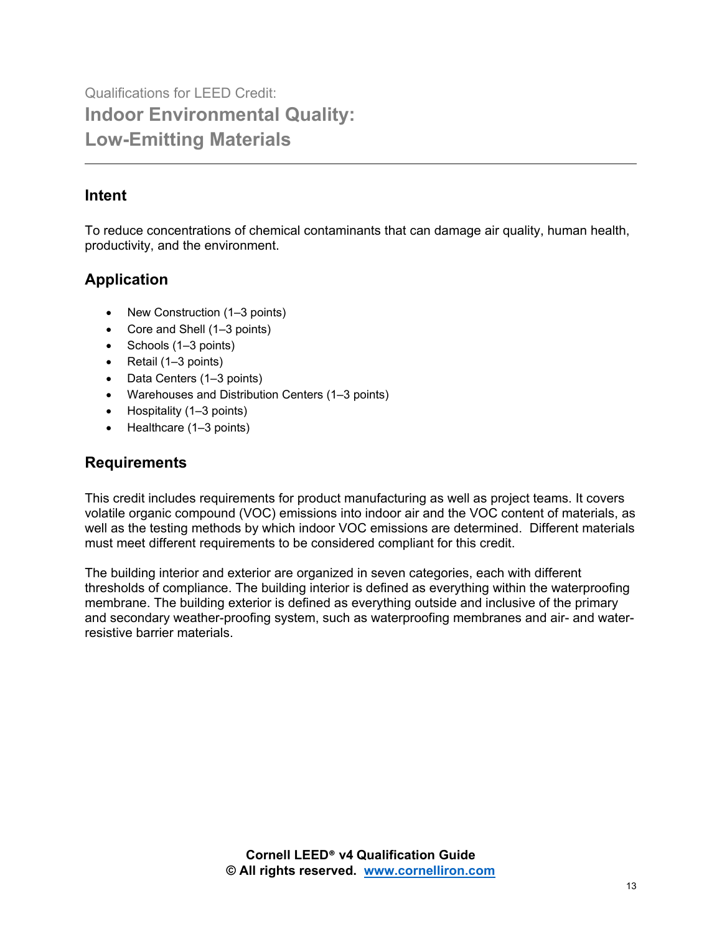## **Intent**

To reduce concentrations of chemical contaminants that can damage air quality, human health, productivity, and the environment.

## **Application**

- New Construction (1–3 points)
- Core and Shell (1–3 points)
- Schools (1–3 points)
- Retail (1–3 points)
- Data Centers (1–3 points)
- Warehouses and Distribution Centers (1–3 points)
- Hospitality (1–3 points)
- Healthcare (1–3 points)

## **Requirements**

This credit includes requirements for product manufacturing as well as project teams. It covers volatile organic compound (VOC) emissions into indoor air and the VOC content of materials, as well as the testing methods by which indoor VOC emissions are determined. Different materials must meet different requirements to be considered compliant for this credit.

The building interior and exterior are organized in seven categories, each with different thresholds of compliance. The building interior is defined as everything within the waterproofing membrane. The building exterior is defined as everything outside and inclusive of the primary and secondary weather-proofing system, such as waterproofing membranes and air- and waterresistive barrier materials.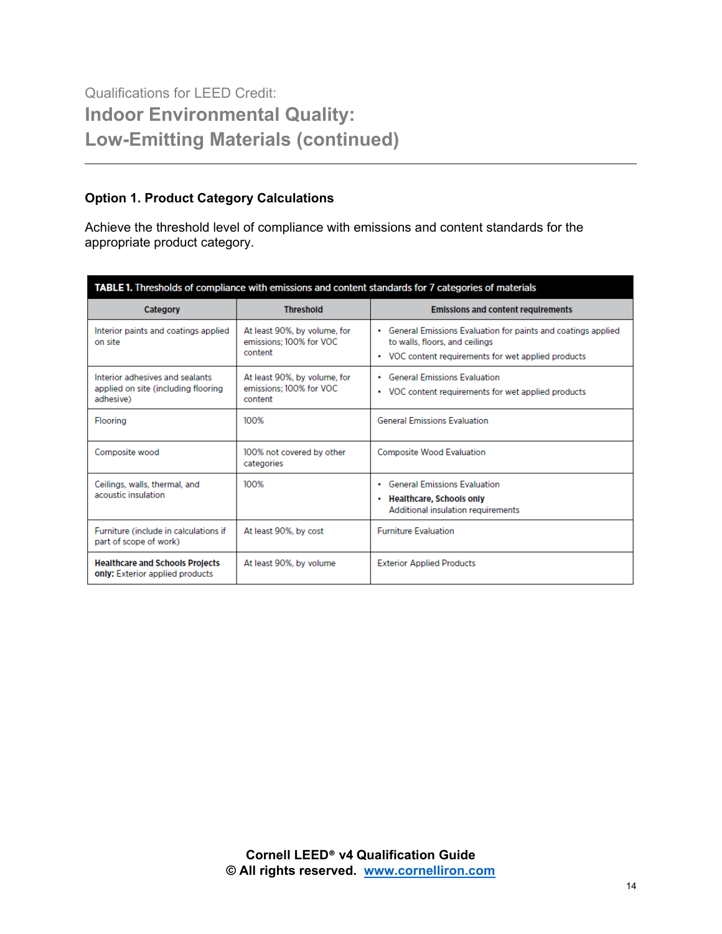#### **Option 1. Product Category Calculations**

Achieve the threshold level of compliance with emissions and content standards for the appropriate product category.

| TABLE 1. Thresholds of compliance with emissions and content standards for 7 categories of materials |                                                                    |                                                                                                                                                         |  |  |  |
|------------------------------------------------------------------------------------------------------|--------------------------------------------------------------------|---------------------------------------------------------------------------------------------------------------------------------------------------------|--|--|--|
| <b>Category</b>                                                                                      | <b>Threshold</b>                                                   | <b>Emissions and content requirements</b>                                                                                                               |  |  |  |
| Interior paints and coatings applied<br>on site                                                      | At least 90%, by volume, for<br>emissions; 100% for VOC<br>content | • General Emissions Evaluation for paints and coatings applied<br>to walls, floors, and ceilings<br>• VOC content requirements for wet applied products |  |  |  |
| Interior adhesives and sealants<br>applied on site (including flooring<br>adhesive)                  | At least 90%, by volume, for<br>emissions: 100% for VOC<br>content | <b>General Emissions Evaluation</b><br>$\bullet$<br>• VOC content requirements for wet applied products                                                 |  |  |  |
| <b>Flooring</b>                                                                                      | 100%                                                               | <b>General Emissions Evaluation</b>                                                                                                                     |  |  |  |
| Composite wood                                                                                       | 100% not covered by other<br>categories                            | <b>Composite Wood Evaluation</b>                                                                                                                        |  |  |  |
| Ceilings, walls, thermal, and<br>acoustic insulation                                                 | 100%                                                               | • General Emissions Evaluation<br>• Healthcare, Schools only<br>Additional insulation requirements                                                      |  |  |  |
| Furniture (include in calculations if<br>part of scope of work)                                      | At least 90%, by cost                                              | <b>Furniture Evaluation</b>                                                                                                                             |  |  |  |
| <b>Healthcare and Schools Projects</b><br>only: Exterior applied products                            | At least 90%, by volume                                            | <b>Exterior Applied Products</b>                                                                                                                        |  |  |  |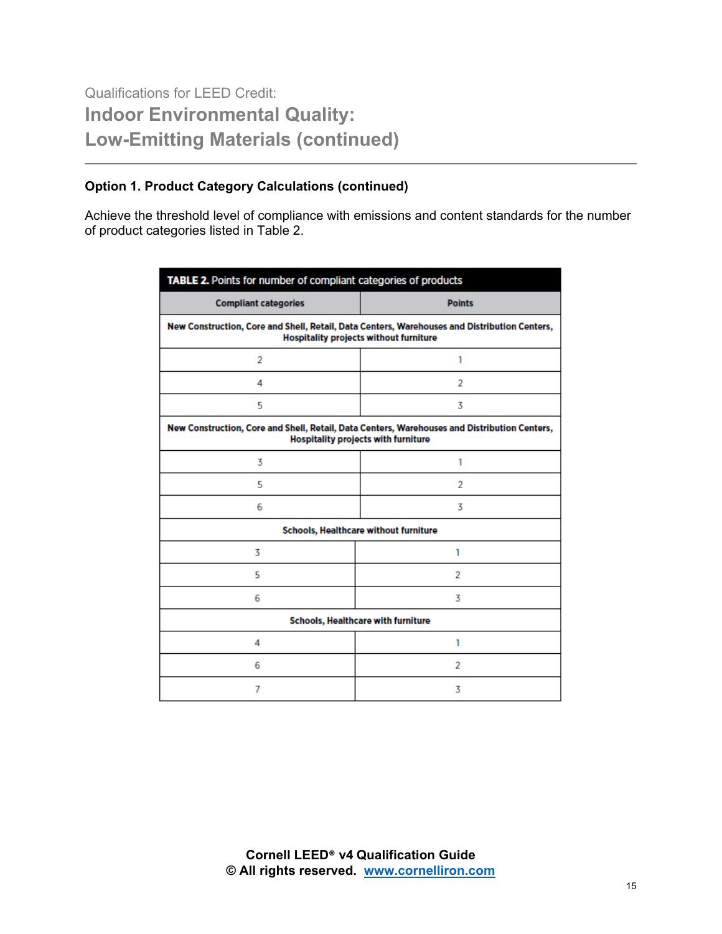#### **Option 1. Product Category Calculations (continued)**

Achieve the threshold level of compliance with emissions and content standards for the number of product categories listed in Table 2.

| TABLE 2. Points for number of compliant categories of products                                                                                |               |  |  |  |
|-----------------------------------------------------------------------------------------------------------------------------------------------|---------------|--|--|--|
| <b>Compliant categories</b>                                                                                                                   | <b>Points</b> |  |  |  |
| New Construction, Core and Shell, Retail, Data Centers, Warehouses and Distribution Centers,<br><b>Hospitality projects without furniture</b> |               |  |  |  |
| 2                                                                                                                                             | 1             |  |  |  |
| 4                                                                                                                                             | 2             |  |  |  |
| 5                                                                                                                                             | 3             |  |  |  |
| New Construction, Core and Shell, Retail, Data Centers, Warehouses and Distribution Centers,<br><b>Hospitality projects with furniture</b>    |               |  |  |  |
| 3                                                                                                                                             | 1             |  |  |  |
| 5                                                                                                                                             | 2             |  |  |  |
| 6                                                                                                                                             | 3             |  |  |  |
| Schools, Healthcare without furniture                                                                                                         |               |  |  |  |
| 3                                                                                                                                             | 1             |  |  |  |
| 5                                                                                                                                             | 2             |  |  |  |
| 6                                                                                                                                             | 3             |  |  |  |
| Schools, Healthcare with furniture                                                                                                            |               |  |  |  |
| 4                                                                                                                                             | 1             |  |  |  |
| 6                                                                                                                                             | 2             |  |  |  |
| 7                                                                                                                                             | 3             |  |  |  |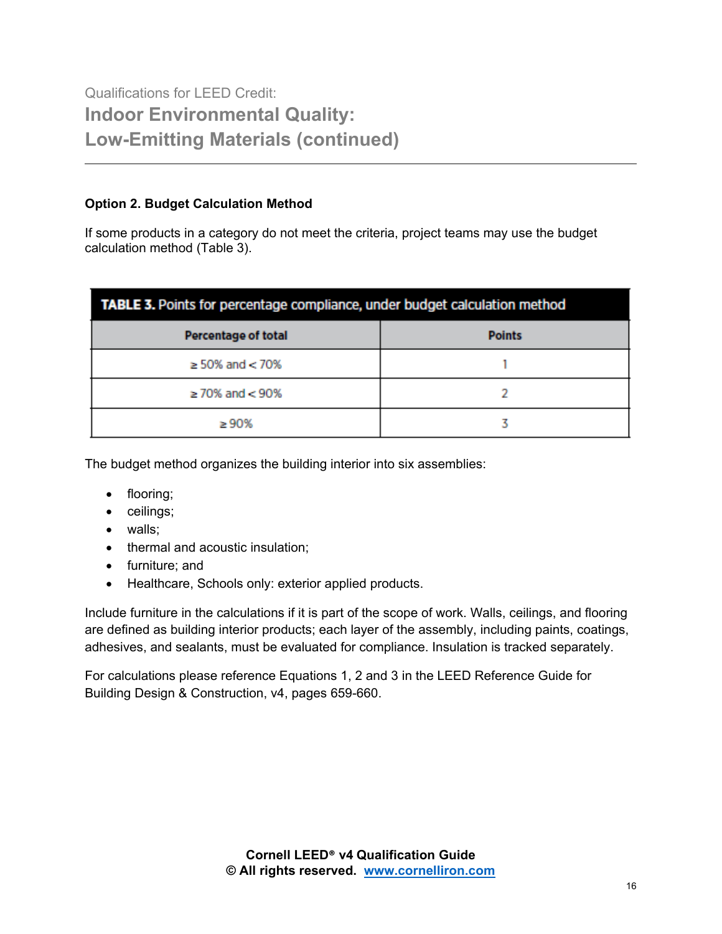#### **Option 2. Budget Calculation Method**

If some products in a category do not meet the criteria, project teams may use the budget calculation method (Table 3).

| TABLE 3. Points for percentage compliance, under budget calculation method |               |  |  |  |
|----------------------------------------------------------------------------|---------------|--|--|--|
| <b>Percentage of total</b>                                                 | <b>Points</b> |  |  |  |
| $\geq$ 50% and $<$ 70%                                                     |               |  |  |  |
| $\geq$ 70% and $<$ 90%                                                     |               |  |  |  |
| >90%                                                                       |               |  |  |  |

The budget method organizes the building interior into six assemblies:

- flooring;
- ceilings;
- walls;
- thermal and acoustic insulation;
- furniture; and
- Healthcare, Schools only: exterior applied products.

Include furniture in the calculations if it is part of the scope of work. Walls, ceilings, and flooring are defined as building interior products; each layer of the assembly, including paints, coatings, adhesives, and sealants, must be evaluated for compliance. Insulation is tracked separately.

For calculations please reference Equations 1, 2 and 3 in the LEED Reference Guide for Building Design & Construction, v4, pages 659-660.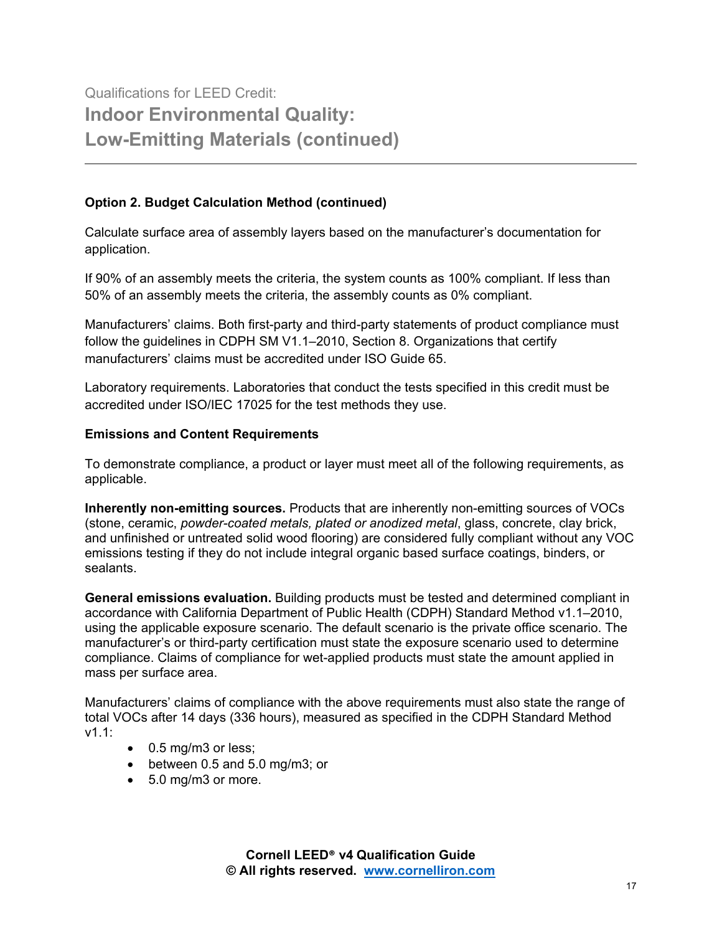#### **Option 2. Budget Calculation Method (continued)**

Calculate surface area of assembly layers based on the manufacturer's documentation for application.

If 90% of an assembly meets the criteria, the system counts as 100% compliant. If less than 50% of an assembly meets the criteria, the assembly counts as 0% compliant.

Manufacturers' claims. Both first-party and third-party statements of product compliance must follow the guidelines in CDPH SM V1.1–2010, Section 8. Organizations that certify manufacturers' claims must be accredited under ISO Guide 65.

Laboratory requirements. Laboratories that conduct the tests specified in this credit must be accredited under ISO/IEC 17025 for the test methods they use.

#### **Emissions and Content Requirements**

To demonstrate compliance, a product or layer must meet all of the following requirements, as applicable.

**Inherently non-emitting sources.** Products that are inherently non-emitting sources of VOCs (stone, ceramic, *powder-coated metals, plated or anodized metal*, glass, concrete, clay brick, and unfinished or untreated solid wood flooring) are considered fully compliant without any VOC emissions testing if they do not include integral organic based surface coatings, binders, or sealants.

**General emissions evaluation.** Building products must be tested and determined compliant in accordance with California Department of Public Health (CDPH) Standard Method v1.1–2010, using the applicable exposure scenario. The default scenario is the private office scenario. The manufacturer's or third-party certification must state the exposure scenario used to determine compliance. Claims of compliance for wet-applied products must state the amount applied in mass per surface area.

Manufacturers' claims of compliance with the above requirements must also state the range of total VOCs after 14 days (336 hours), measured as specified in the CDPH Standard Method v1.1:

- 0.5 mg/m3 or less;
- between 0.5 and 5.0 mg/m3; or
- 5.0 mg/m3 or more.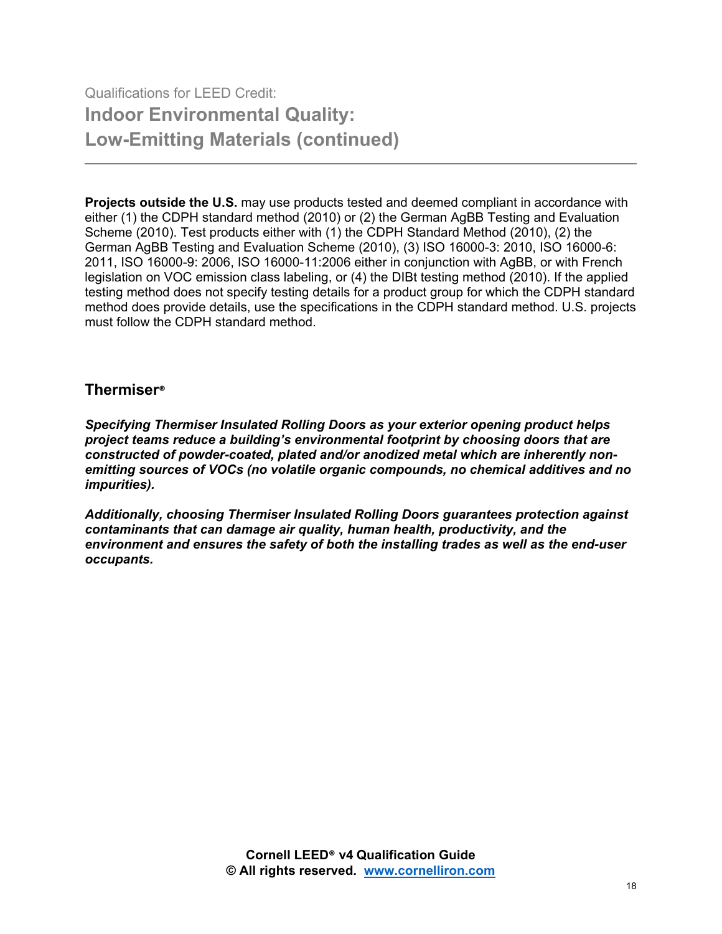**Projects outside the U.S.** may use products tested and deemed compliant in accordance with either (1) the CDPH standard method (2010) or (2) the German AgBB Testing and Evaluation Scheme (2010). Test products either with (1) the CDPH Standard Method (2010), (2) the German AgBB Testing and Evaluation Scheme (2010), (3) ISO 16000-3: 2010, ISO 16000-6: 2011, ISO 16000-9: 2006, ISO 16000-11:2006 either in conjunction with AgBB, or with French legislation on VOC emission class labeling, or (4) the DIBt testing method (2010). If the applied testing method does not specify testing details for a product group for which the CDPH standard method does provide details, use the specifications in the CDPH standard method. U.S. projects must follow the CDPH standard method.

### **Thermiser®**

*Specifying Thermiser Insulated Rolling Doors as your exterior opening product helps project teams reduce a building's environmental footprint by choosing doors that are constructed of powder-coated, plated and/or anodized metal which are inherently nonemitting sources of VOCs (no volatile organic compounds, no chemical additives and no impurities).*

*Additionally, choosing Thermiser Insulated Rolling Doors guarantees protection against contaminants that can damage air quality, human health, productivity, and the environment and ensures the safety of both the installing trades as well as the end-user occupants.*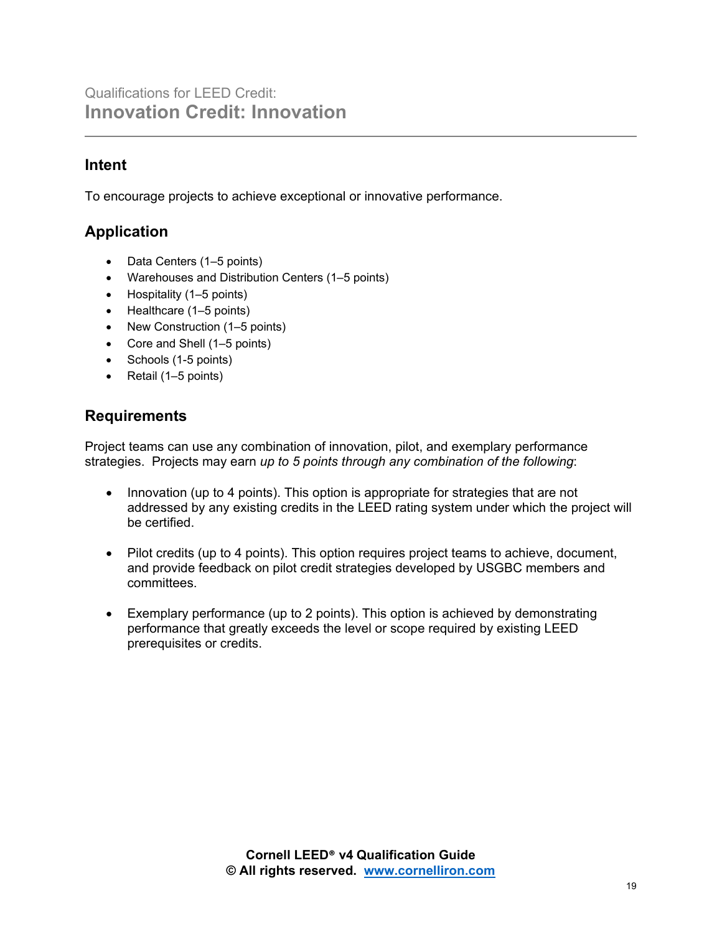### **Intent**

To encourage projects to achieve exceptional or innovative performance.

## **Application**

- Data Centers (1–5 points)
- Warehouses and Distribution Centers (1–5 points)
- Hospitality (1–5 points)
- Healthcare (1–5 points)
- New Construction (1–5 points)
- Core and Shell (1–5 points)
- Schools (1-5 points)
- Retail (1–5 points)

### **Requirements**

Project teams can use any combination of innovation, pilot, and exemplary performance strategies. Projects may earn *up to 5 points through any combination of the following*:

- Innovation (up to 4 points). This option is appropriate for strategies that are not addressed by any existing credits in the LEED rating system under which the project will be certified.
- Pilot credits (up to 4 points). This option requires project teams to achieve, document, and provide feedback on pilot credit strategies developed by USGBC members and committees.
- Exemplary performance (up to 2 points). This option is achieved by demonstrating performance that greatly exceeds the level or scope required by existing LEED prerequisites or credits.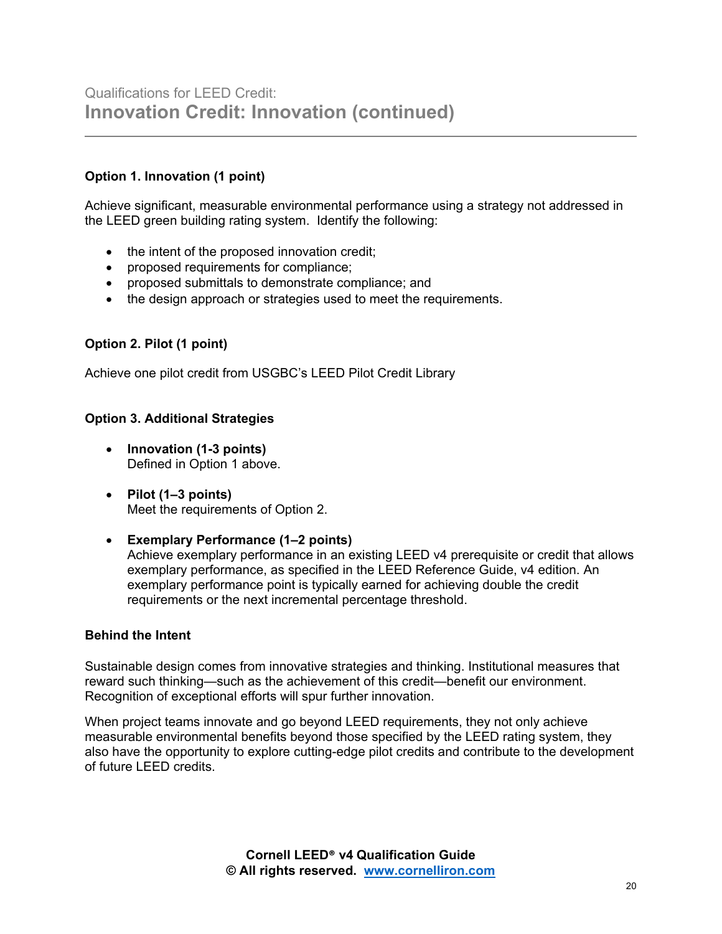#### **Option 1. Innovation (1 point)**

Achieve significant, measurable environmental performance using a strategy not addressed in the LEED green building rating system. Identify the following:

- the intent of the proposed innovation credit;
- proposed requirements for compliance;
- proposed submittals to demonstrate compliance; and
- the design approach or strategies used to meet the requirements.

#### **Option 2. Pilot (1 point)**

Achieve one pilot credit from USGBC's LEED Pilot Credit Library

#### **Option 3. Additional Strategies**

- **Innovation (1-3 points)**  Defined in Option 1 above.
- **Pilot (1–3 points)**  Meet the requirements of Option 2.
- **Exemplary Performance (1–2 points)** Achieve exemplary performance in an existing LEED v4 prerequisite or credit that allows exemplary performance, as specified in the LEED Reference Guide, v4 edition. An exemplary performance point is typically earned for achieving double the credit requirements or the next incremental percentage threshold.

#### **Behind the Intent**

Sustainable design comes from innovative strategies and thinking. Institutional measures that reward such thinking—such as the achievement of this credit—benefit our environment. Recognition of exceptional efforts will spur further innovation.

When project teams innovate and go beyond LEED requirements, they not only achieve measurable environmental benefits beyond those specified by the LEED rating system, they also have the opportunity to explore cutting-edge pilot credits and contribute to the development of future LEED credits.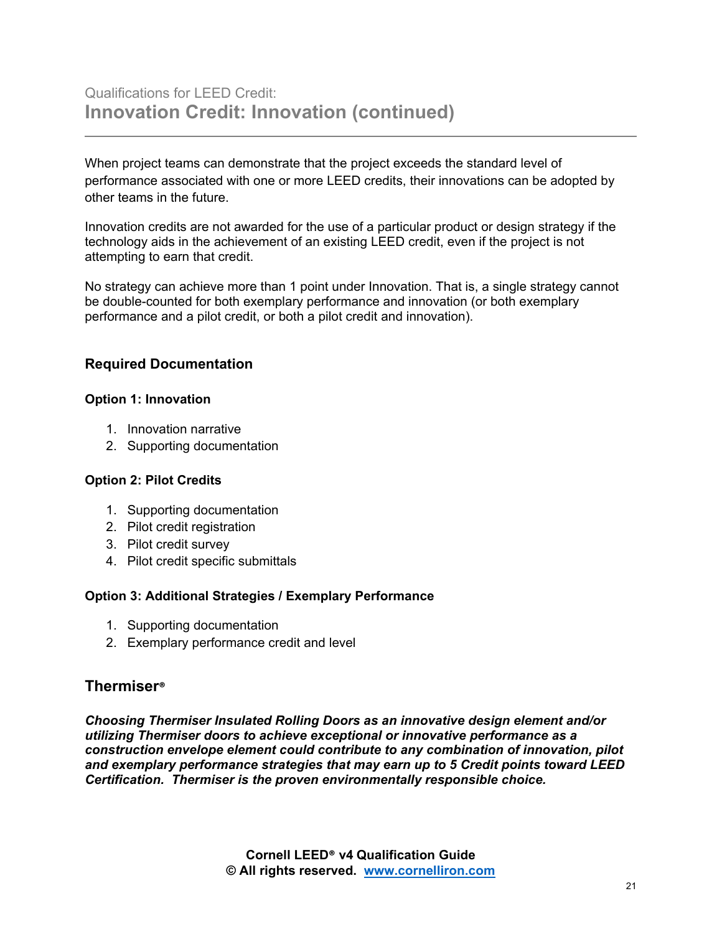When project teams can demonstrate that the project exceeds the standard level of performance associated with one or more LEED credits, their innovations can be adopted by other teams in the future.

Innovation credits are not awarded for the use of a particular product or design strategy if the technology aids in the achievement of an existing LEED credit, even if the project is not attempting to earn that credit.

No strategy can achieve more than 1 point under Innovation. That is, a single strategy cannot be double-counted for both exemplary performance and innovation (or both exemplary performance and a pilot credit, or both a pilot credit and innovation).

#### **Required Documentation**

#### **Option 1: Innovation**

- 1. Innovation narrative
- 2. Supporting documentation

#### **Option 2: Pilot Credits**

- 1. Supporting documentation
- 2. Pilot credit registration
- 3. Pilot credit survey
- 4. Pilot credit specific submittals

#### **Option 3: Additional Strategies / Exemplary Performance**

- 1. Supporting documentation
- 2. Exemplary performance credit and level

#### **Thermiser®**

*Choosing Thermiser Insulated Rolling Doors as an innovative design element and/or utilizing Thermiser doors to achieve exceptional or innovative performance as a construction envelope element could contribute to any combination of innovation, pilot and exemplary performance strategies that may earn up to 5 Credit points toward LEED Certification. Thermiser is the proven environmentally responsible choice.*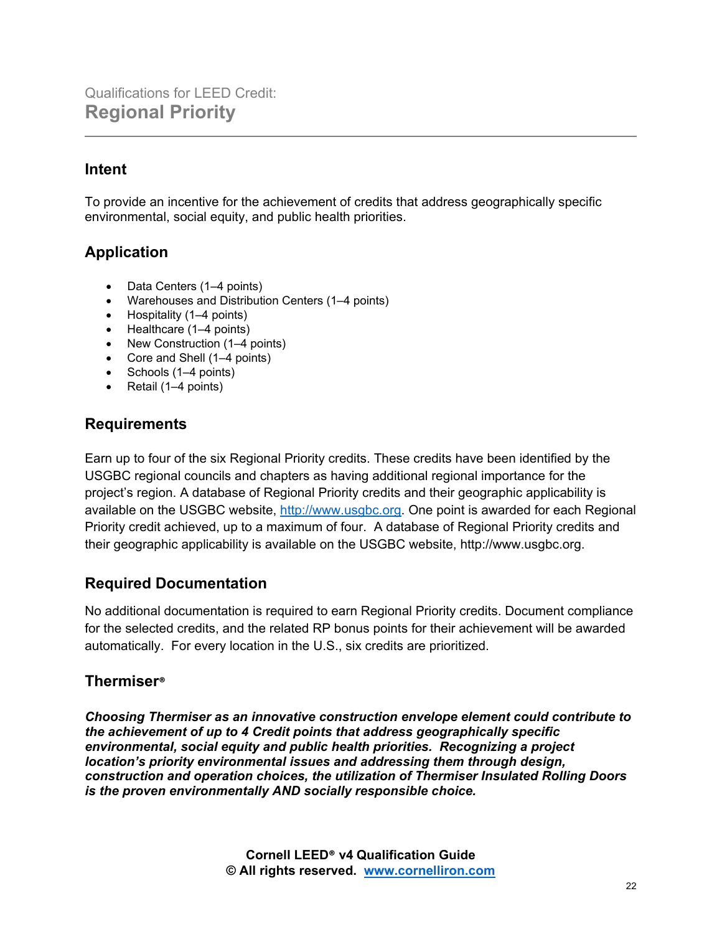## **Intent**

To provide an incentive for the achievement of credits that address geographically specific environmental, social equity, and public health priorities.

## **Application**

- Data Centers (1–4 points)
- Warehouses and Distribution Centers (1–4 points)
- Hospitality (1–4 points)
- Healthcare (1–4 points)
- New Construction (1–4 points)
- Core and Shell (1–4 points)
- Schools (1–4 points)
- Retail (1–4 points)

### **Requirements**

Earn up to four of the six Regional Priority credits. These credits have been identified by the USGBC regional councils and chapters as having additional regional importance for the project's region. A database of Regional Priority credits and their geographic applicability is available on the USGBC website, [http://www.usgbc.org.](http://www.usgbc.org/) One point is awarded for each Regional Priority credit achieved, up to a maximum of four. A database of Regional Priority credits and their geographic applicability is available on the USGBC website, http://www.usgbc.org.

### **Required Documentation**

No additional documentation is required to earn Regional Priority credits. Document compliance for the selected credits, and the related RP bonus points for their achievement will be awarded automatically. For every location in the U.S., six credits are prioritized.

### **Thermiser®**

*Choosing Thermiser as an innovative construction envelope element could contribute to the achievement of up to 4 Credit points that address geographically specific environmental, social equity and public health priorities. Recognizing a project location's priority environmental issues and addressing them through design, construction and operation choices, the utilization of Thermiser Insulated Rolling Doors is the proven environmentally AND socially responsible choice.*